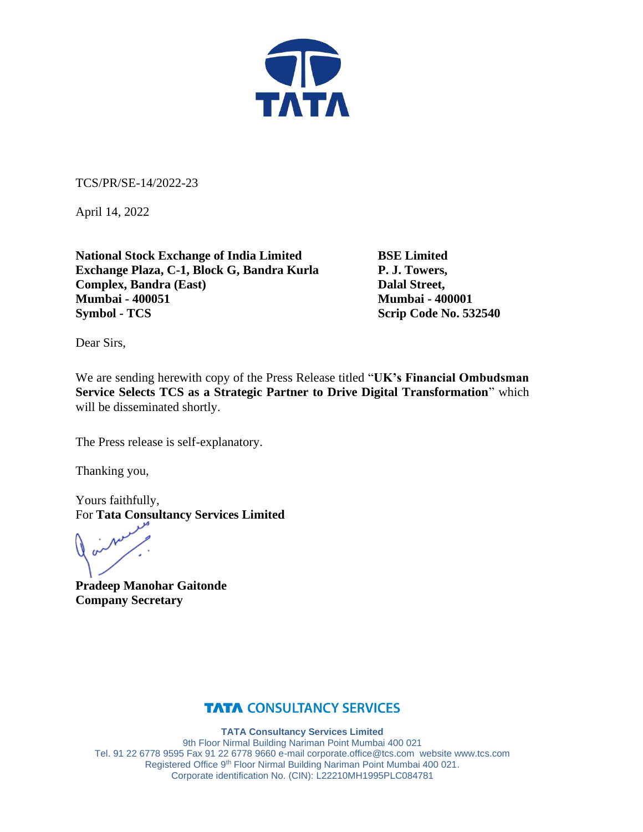

TCS/PR/SE-14/2022-23

April 14, 2022

**National Stock Exchange of India Limited BSE Limited Exchange Plaza, C-1, Block G, Bandra Kurla P. J. Towers, Complex, Bandra (East)** Dalal Street, **Mumbai - 400051 Mumbai - 400001 Symbol - TCS** Scrip Code No. 532540

Dear Sirs,

We are sending herewith copy of the Press Release titled "**UK's Financial Ombudsman Service Selects TCS as a Strategic Partner to Drive Digital Transformation**" which will be disseminated shortly.

The Press release is self-explanatory.

Thanking you,

Yours faithfully, For **Tata Consultancy Services Limited**

**Pradeep Manohar Gaitonde Company Secretary**

### **TATA CONSULTANCY SERVICES**

**TATA Consultancy Services Limited** 9th Floor Nirmal Building Nariman Point Mumbai 400 021 Tel. 91 22 6778 9595 Fax 91 22 6778 9660 e-mai[l corporate.office@tcs.com](mailto:corporate.office@tcs.com) website www.tcs.com Registered Office 9th Floor Nirmal Building Nariman Point Mumbai 400 021. Corporate identification No. (CIN): L22210MH1995PLC084781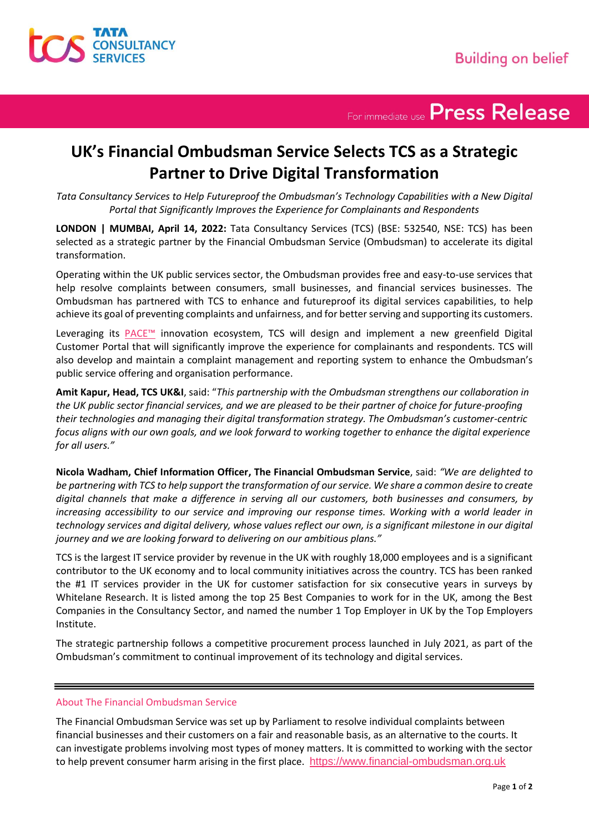

For immediate use Press Release

## **UK's Financial Ombudsman Service Selects TCS as a Strategic Partner to Drive Digital Transformation**

*Tata Consultancy Services to Help Futureproof the Ombudsman's Technology Capabilities with a New Digital Portal that Significantly Improves the Experience for Complainants and Respondents*

**LONDON | MUMBAI, April 14, 2022:** Tata Consultancy Services (TCS) (BSE: 532540, NSE: TCS) has been selected as a strategic partner by the Financial Ombudsman Service (Ombudsman) to accelerate its digital transformation.

Operating within the UK public services sector, the Ombudsman provides free and easy-to-use services that help resolve complaints between consumers, small businesses, and financial services businesses. The Ombudsman has partnered with TCS to enhance and futureproof its digital services capabilities, to help achieve its goal of preventing complaints and unfairness, and for better serving and supporting its customers.

Leveraging its PACE<sup>™</sup> innovation ecosystem, TCS will design and implement a new greenfield Digital Customer Portal that will significantly improve the experience for complainants and respondents. TCS will also develop and maintain a complaint management and reporting system to enhance the Ombudsman's public service offering and organisation performance.

**Amit Kapur, Head, TCS UK&I**, said: "*This partnership with the Ombudsman strengthens our collaboration in the UK public sector financial services, and we are pleased to be their partner of choice for future-proofing their technologies and managing their digital transformation strategy. The Ombudsman's customer-centric focus aligns with our own goals, and we look forward to working together to enhance the digital experience for all users."*

**Nicola Wadham, Chief Information Officer, The Financial Ombudsman Service**, said: *"We are delighted to be partnering with TCS to help support the transformation of our service. We share a common desire to create digital channels that make a difference in serving all our customers, both businesses and consumers, by increasing accessibility to our service and improving our response times. Working with a world leader in technology services and digital delivery, whose values reflect our own, is a significant milestone in our digital journey and we are looking forward to delivering on our ambitious plans."*

TCS is the largest IT service provider by revenue in the UK with roughly 18,000 employees and is a significant contributor to the UK economy and to local community initiatives across the country. TCS has been ranked the #1 IT services provider in the UK for customer satisfaction for six consecutive years in surveys by Whitelane Research. It is listed among the top 25 Best Companies to work for in the UK, among the Best Companies in the Consultancy Sector, and named the number 1 Top Employer in UK by the Top Employers Institute.

The strategic partnership follows a competitive procurement process launched in July 2021, as part of the Ombudsman's commitment to continual improvement of its technology and digital services.

### About The Financial Ombudsman Service

The Financial Ombudsman Service was set up by Parliament to resolve individual complaints between financial businesses and their customers on a fair and reasonable basis, as an alternative to the courts. It can investigate problems involving most types of money matters. It is committed to working with the sector to help prevent consumer harm arising in the first place. [https://www.financial-ombudsman.org.uk](https://www.financial-ombudsman.org.uk/)